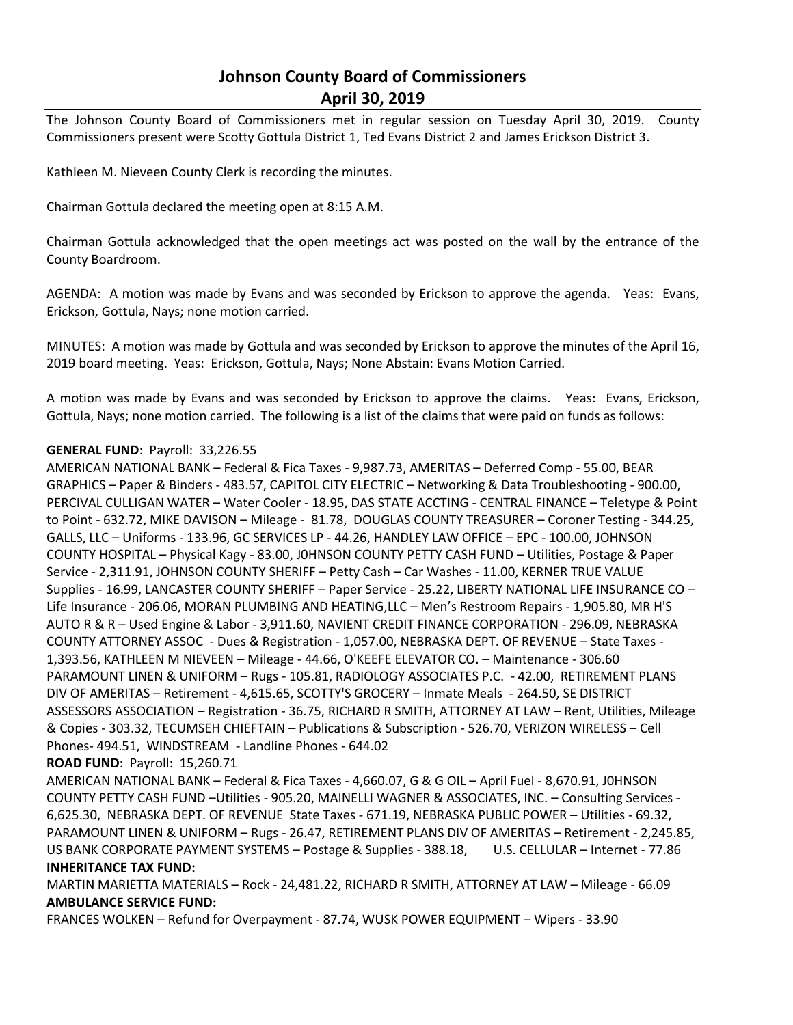## **Johnson County Board of Commissioners April 30, 2019**

The Johnson County Board of Commissioners met in regular session on Tuesday April 30, 2019. County Commissioners present were Scotty Gottula District 1, Ted Evans District 2 and James Erickson District 3.

Kathleen M. Nieveen County Clerk is recording the minutes.

Chairman Gottula declared the meeting open at 8:15 A.M.

Chairman Gottula acknowledged that the open meetings act was posted on the wall by the entrance of the County Boardroom.

AGENDA: A motion was made by Evans and was seconded by Erickson to approve the agenda. Yeas: Evans, Erickson, Gottula, Nays; none motion carried.

MINUTES: A motion was made by Gottula and was seconded by Erickson to approve the minutes of the April 16, 2019 board meeting. Yeas: Erickson, Gottula, Nays; None Abstain: Evans Motion Carried.

A motion was made by Evans and was seconded by Erickson to approve the claims. Yeas: Evans, Erickson, Gottula, Nays; none motion carried. The following is a list of the claims that were paid on funds as follows:

## **GENERAL FUND**: Payroll: 33,226.55

AMERICAN NATIONAL BANK – Federal & Fica Taxes - 9,987.73, AMERITAS – Deferred Comp - 55.00, BEAR GRAPHICS – Paper & Binders - 483.57, CAPITOL CITY ELECTRIC – Networking & Data Troubleshooting - 900.00, PERCIVAL CULLIGAN WATER – Water Cooler - 18.95, DAS STATE ACCTING - CENTRAL FINANCE – Teletype & Point to Point - 632.72, MIKE DAVISON - Mileage - 81.78, DOUGLAS COUNTY TREASURER - Coroner Testing - 344.25, GALLS, LLC – Uniforms - 133.96, GC SERVICES LP - 44.26, HANDLEY LAW OFFICE – EPC - 100.00, JOHNSON COUNTY HOSPITAL – Physical Kagy - 83.00, J0HNSON COUNTY PETTY CASH FUND – Utilities, Postage & Paper Service - 2,311.91, JOHNSON COUNTY SHERIFF – Petty Cash – Car Washes - 11.00, KERNER TRUE VALUE Supplies - 16.99, LANCASTER COUNTY SHERIFF – Paper Service - 25.22, LIBERTY NATIONAL LIFE INSURANCE CO – Life Insurance - 206.06, MORAN PLUMBING AND HEATING,LLC – Men's Restroom Repairs - 1,905.80, MR H'S AUTO R & R – Used Engine & Labor - 3,911.60, NAVIENT CREDIT FINANCE CORPORATION - 296.09, NEBRASKA COUNTY ATTORNEY ASSOC - Dues & Registration - 1,057.00, NEBRASKA DEPT. OF REVENUE – State Taxes - 1,393.56, KATHLEEN M NIEVEEN – Mileage - 44.66, O'KEEFE ELEVATOR CO. – Maintenance - 306.60 PARAMOUNT LINEN & UNIFORM – Rugs - 105.81, RADIOLOGY ASSOCIATES P.C. - 42.00, RETIREMENT PLANS DIV OF AMERITAS – Retirement - 4,615.65, SCOTTY'S GROCERY – Inmate Meals - 264.50, SE DISTRICT ASSESSORS ASSOCIATION – Registration - 36.75, RICHARD R SMITH, ATTORNEY AT LAW – Rent, Utilities, Mileage & Copies - 303.32, TECUMSEH CHIEFTAIN – Publications & Subscription - 526.70, VERIZON WIRELESS – Cell Phones- 494.51, WINDSTREAM - Landline Phones - 644.02

## **ROAD FUND**: Payroll: 15,260.71

AMERICAN NATIONAL BANK – Federal & Fica Taxes - 4,660.07, G & G OIL – April Fuel - 8,670.91, J0HNSON COUNTY PETTY CASH FUND –Utilities - 905.20, MAINELLI WAGNER & ASSOCIATES, INC. – Consulting Services - 6,625.30, NEBRASKA DEPT. OF REVENUE State Taxes - 671.19, NEBRASKA PUBLIC POWER – Utilities - 69.32, PARAMOUNT LINEN & UNIFORM – Rugs - 26.47, RETIREMENT PLANS DIV OF AMERITAS – Retirement - 2,245.85, US BANK CORPORATE PAYMENT SYSTEMS – Postage & Supplies - 388.18, U.S. CELLULAR – Internet - 77.86 **INHERITANCE TAX FUND:**

MARTIN MARIETTA MATERIALS – Rock - 24,481.22, RICHARD R SMITH, ATTORNEY AT LAW – Mileage - 66.09 **AMBULANCE SERVICE FUND:**

FRANCES WOLKEN – Refund for Overpayment - 87.74, WUSK POWER EQUIPMENT – Wipers - 33.90